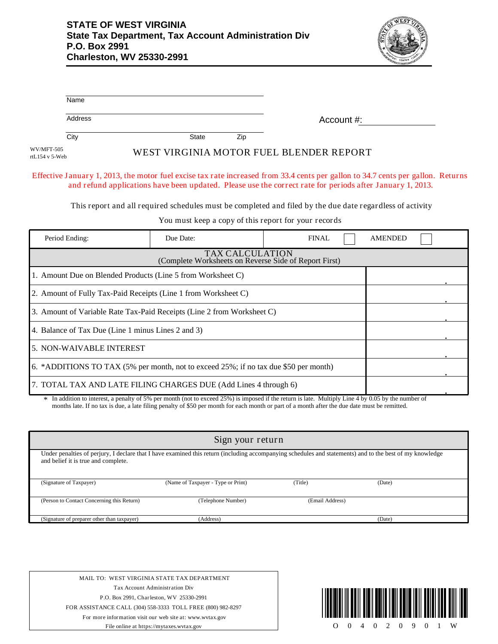Γ



|                              | Name                                                                                                                                                                                                                                          |              |     |                                                      |  |                |  |
|------------------------------|-----------------------------------------------------------------------------------------------------------------------------------------------------------------------------------------------------------------------------------------------|--------------|-----|------------------------------------------------------|--|----------------|--|
|                              | Address                                                                                                                                                                                                                                       |              |     | Account $\#$ :                                       |  |                |  |
|                              | City                                                                                                                                                                                                                                          | <b>State</b> | Zip |                                                      |  |                |  |
| WV/MFT-505<br>rtL154 v 5-Web |                                                                                                                                                                                                                                               |              |     | WEST VIRGINIA MOTOR FUEL BLENDER REPORT              |  |                |  |
|                              | Effective January 1, 2013, the motor fuel excise tax rate increased from 33.4 cents per gallon to 34.7 cents per gallon. Returns<br>and refund applications have been updated. Please use the correct rate for periods after January 1, 2013. |              |     |                                                      |  |                |  |
|                              | This report and all required schedules must be completed and filed by the due date regardless of activity                                                                                                                                     |              |     |                                                      |  |                |  |
|                              |                                                                                                                                                                                                                                               |              |     | You must keep a copy of this report for your records |  |                |  |
|                              | Period Ending:                                                                                                                                                                                                                                | Due Date:    |     | <b>FINAL</b>                                         |  | <b>AMENDED</b> |  |

| I VIIVA LIRAIS.                                                                      | Duc Daw.                                                       | . | $1$ MyILI YL/LI |  |  |  |
|--------------------------------------------------------------------------------------|----------------------------------------------------------------|---|-----------------|--|--|--|
| <b>TAX CALCULATION</b><br>(Complete Worksheets on Reverse Side of Report First)      |                                                                |   |                 |  |  |  |
|                                                                                      | 1. Amount Due on Blended Products (Line 5 from Worksheet C)    |   |                 |  |  |  |
|                                                                                      | 2. Amount of Fully Tax-Paid Receipts (Line 1 from Worksheet C) |   |                 |  |  |  |
| 3. Amount of Variable Rate Tax-Paid Receipts (Line 2 from Worksheet C)               |                                                                |   |                 |  |  |  |
| 4. Balance of Tax Due (Line 1 minus Lines 2 and 3)                                   |                                                                |   |                 |  |  |  |
| <b>5. NON-WAIVABLE INTEREST</b>                                                      |                                                                |   |                 |  |  |  |
| 6. *ADDITIONS TO TAX (5% per month, not to exceed 25%; if no tax due \$50 per month) |                                                                |   |                 |  |  |  |
| 7. TOTAL TAX AND LATE FILING CHARGES DUE (Add Lines 4 through 6)                     |                                                                |   |                 |  |  |  |

In addition to interest, a penalty of 5% per month (not to exceed 25%) is imposed if the return is late. Multiply Line 4 by 0.05 by the number of months late. If no tax is due, a late filing penalty of \$50 per month for each month or part of a month after the due date must be remitted.

| Sign your return                                                                                                                                                                                |                                    |                 |        |  |  |  |
|-------------------------------------------------------------------------------------------------------------------------------------------------------------------------------------------------|------------------------------------|-----------------|--------|--|--|--|
| Under penalties of perjury, I declare that I have examined this return (including accompanying schedules and statements) and to the best of my knowledge<br>and belief it is true and complete. |                                    |                 |        |  |  |  |
| (Signature of Taxpayer)                                                                                                                                                                         | (Name of Taxpayer - Type or Print) | (Title)         | (Date) |  |  |  |
| (Person to Contact Concerning this Return)                                                                                                                                                      | (Telephone Number)                 | (Email Address) |        |  |  |  |
| (Address)<br>(Signature of preparer other than taxpayer)<br>(Date)                                                                                                                              |                                    |                 |        |  |  |  |

MAIL TO: WEST VIRGINIA STATE TAX DEPARTMENT Tax Account Administration Div P.O. Box 2991, Charleston, WV 25330-2991 FOR ASSISTANCE CALL (304) 558-3333 TOLL FREE (800) 982-8297 For more information visit our web site at: www.wvtax.gov File online at https://mytaxes.wvtax.gov